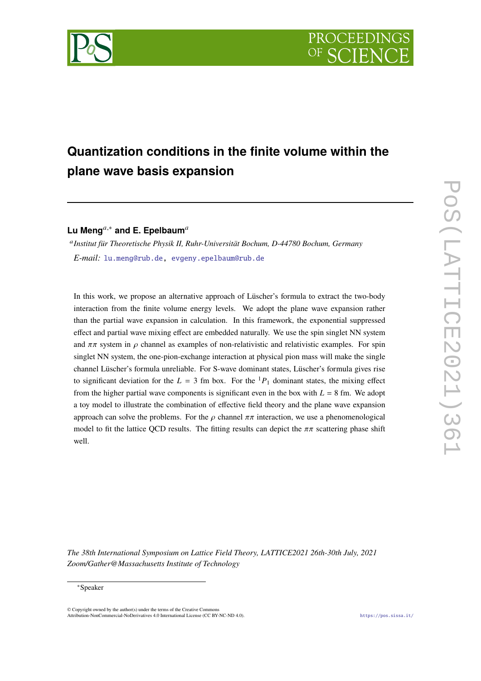

# **Quantization conditions in the finite volume within the plane wave basis expansion**

**Lu Meng**,<sup>∗</sup> **and E. Epelbaum**

 *Institut für Theoretische Physik II, Ruhr-Universität Bochum, D-44780 Bochum, Germany E-mail:* [lu.meng@rub.de,](mailto:lu.meng@rub.de) [evgeny.epelbaum@rub.de](mailto:evgeny.epelbaum@rub.de)

In this work, we propose an alternative approach of Lüscher's formula to extract the two-body interaction from the finite volume energy levels. We adopt the plane wave expansion rather than the partial wave expansion in calculation. In this framework, the exponential suppressed effect and partial wave mixing effect are embedded naturally. We use the spin singlet NN system and  $\pi\pi$  system in  $\rho$  channel as examples of non-relativistic and relativistic examples. For spin singlet NN system, the one-pion-exchange interaction at physical pion mass will make the single channel Lüscher's formula unreliable. For S-wave dominant states, Lüscher's formula gives rise to significant deviation for the  $L = 3$  fm box. For the  ${}^{1}P_1$  dominant states, the mixing effect from the higher partial wave components is significant even in the box with  $L = 8$  fm. We adopt a toy model to illustrate the combination of effective field theory and the plane wave expansion approach can solve the problems. For the  $\rho$  channel  $\pi\pi$  interaction, we use a phenomenological model to fit the lattice QCD results. The fitting results can depict the  $\pi\pi$  scattering phase shift well.

*The 38th International Symposium on Lattice Field Theory, LATTICE2021 26th-30th July, 2021 Zoom/Gather@Massachusetts Institute of Technology*

#### ∗Speaker

 $\odot$  Copyright owned by the author(s) under the terms of the Creative Common Attribution-NonCommercial-NoDerivatives 4.0 International License (CC BY-NC-ND 4.0). <https://pos.sissa.it/>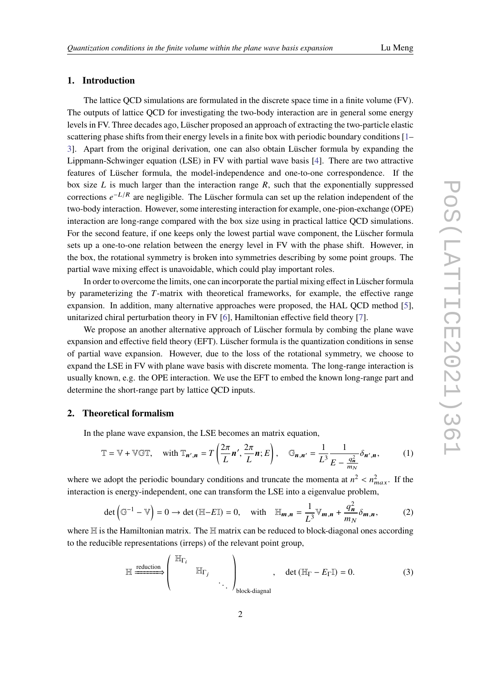# **1. Introduction**

The lattice QCD simulations are formulated in the discrete space time in a finite volume (FV). The outputs of lattice QCD for investigating the two-body interaction are in general some energy levels in FV. Three decades ago, Lüscher proposed an approach of extracting the two-particle elastic scattering phase shifts from their energy levels in a finite box with periodic boundary conditions [\[1–](#page-8-0) [3\]](#page-8-1). Apart from the original derivation, one can also obtain Lüscher formula by expanding the Lippmann-Schwinger equation (LSE) in FV with partial wave basis [\[4\]](#page-8-2). There are two attractive features of Lüscher formula, the model-independence and one-to-one correspondence. If the box size  $L$  is much larger than the interaction range  $R$ , such that the exponentially suppressed corrections  $e^{-L/R}$  are negligible. The Lüscher formula can set up the relation independent of the two-body interaction. However, some interesting interaction for example, one-pion-exchange (OPE) interaction are long-range compared with the box size using in practical lattice QCD simulations. For the second feature, if one keeps only the lowest partial wave component, the Lüscher formula sets up a one-to-one relation between the energy level in FV with the phase shift. However, in the box, the rotational symmetry is broken into symmetries describing by some point groups. The partial wave mixing effect is unavoidable, which could play important roles.

In order to overcome the limits, one can incorporate the partial mixing effect in Lüscher formula by parameterizing the  $T$ -matrix with theoretical frameworks, for example, the effective range expansion. In addition, many alternative approaches were proposed, the HAL QCD method [\[5\]](#page-8-3), unitarized chiral perturbation theory in FV [\[6\]](#page-8-4), Hamiltonian effective field theory [\[7\]](#page-8-5).

We propose an another alternative approach of Lüscher formula by combing the plane wave expansion and effective field theory (EFT). Lüscher formula is the quantization conditions in sense of partial wave expansion. However, due to the loss of the rotational symmetry, we choose to expand the LSE in FV with plane wave basis with discrete momenta. The long-range interaction is usually known, e.g. the OPE interaction. We use the EFT to embed the known long-range part and determine the short-range part by lattice QCD inputs.

# **2. Theoretical formalism**

In the plane wave expansion, the LSE becomes an matrix equation,

$$
\mathbb{T} = \mathbb{V} + \mathbb{V} \mathbb{GT}, \quad \text{with } \mathbb{T}_{n',n} = T\left(\frac{2\pi}{L}n', \frac{2\pi}{L}n; E\right), \quad \mathbb{G}_{n,n'} = \frac{1}{L^3} \frac{1}{E - \frac{q_n^2}{m_N}} \delta_{n',n}, \tag{1}
$$

where we adopt the periodic boundary conditions and truncate the momenta at  $n^2 < n_{max}^2$ . If the interaction is energy-independent, one can transform the LSE into a eigenvalue problem,

$$
\det\left(\mathbb{G}^{-1}-\mathbb{V}\right)=0\to\det\left(\mathbb{H}-E\mathbb{I}\right)=0,\quad\text{with}\quad\mathbb{H}_{m,n}=\frac{1}{L^3}\mathbb{V}_{m,n}+\frac{q_n^2}{m_N}\delta_{m,n},\tag{2}
$$

where  $H$  is the Hamiltonian matrix. The  $H$  matrix can be reduced to block-diagonal ones according to the reducible representations (irreps) of the relevant point group,

$$
\mathbb{H} \xrightarrow{\text{reduction}} \begin{pmatrix} \mathbb{H}_{\Gamma_i} & & \\ & \mathbb{H}_{\Gamma_j} & \\ & & \ddots \end{pmatrix}_{\text{block-diagonal}}, \quad \det (\mathbb{H}_{\Gamma} - E_{\Gamma} \mathbb{I}) = 0.
$$
 (3)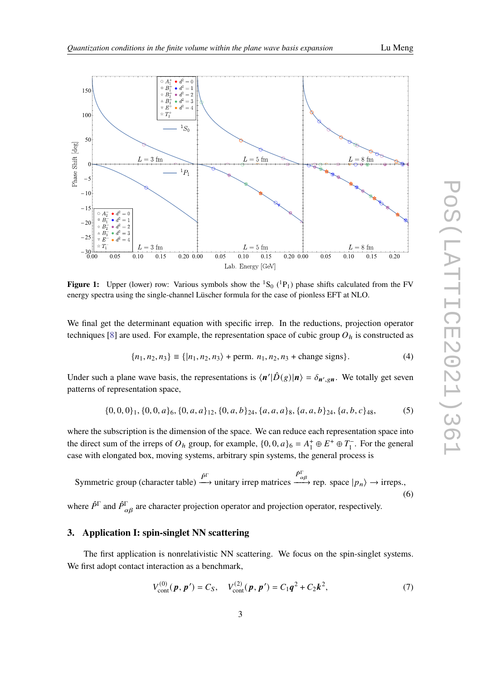<span id="page-2-0"></span>

**Figure 1:** Upper (lower) row: Various symbols show the  ${}^{1}S_{0}$  ( ${}^{1}P_{1}$ ) phase shifts calculated from the FV energy spectra using the single-channel Lüscher formula for the case of pionless EFT at NLO.

We final get the determinant equation with specific irrep. In the reductions, projection operator techniques [\[8\]](#page-8-6) are used. For example, the representation space of cubic group  $O<sub>h</sub>$  is constructed as

$$
\{n_1, n_2, n_3\} \equiv \{|n_1, n_2, n_3\rangle + \text{perm. } n_1, n_2, n_3 + \text{change signs}\}.
$$
 (4)

Under such a plane wave basis, the representations is  $\langle n'|\hat{D}(g)|n\rangle = \delta_{n',gn}$ . We totally get seven patterns of representation space,

$$
\{0,0,0\}_1,\{0,0,a\}_6,\{0,a,a\}_1, \{0,a,b\}_2, \{a,a,a\}_8,\{a,a,b\}_2, \{a,b,c\}_4, \{0,0,c\}_4
$$
(5)

where the subscription is the dimension of the space. We can reduce each representation space into the direct sum of the irreps of  $O_h$  group, for example,  $\{0, 0, a\}_6 = A_1^+ \oplus E^+ \oplus T_1^-$ . For the general case with elongated box, moving systems, arbitrary spin systems, the general process is

Symmetric group (character table)  $\stackrel{\hat{P}^{\Gamma}}{\longrightarrow}$  unitary irrep matrices  $\stackrel{\hat{P}_{\alpha\beta}^{\Gamma}}{\longrightarrow}$  rep. space  $|p_n\rangle \rightarrow$  irreps., (6)

where  $\hat{P}^{\Gamma}$  and  $\hat{P}^{\Gamma}_{\alpha\beta}$  are character projection operator and projection operator, respectively.

# **3. Application I: spin-singlet NN scattering**

The first application is nonrelativistic NN scattering. We focus on the spin-singlet systems. We first adopt contact interaction as a benchmark,

$$
V_{\text{cont}}^{(0)}(\boldsymbol{p}, \boldsymbol{p}') = C_S, \quad V_{\text{cont}}^{(2)}(\boldsymbol{p}, \boldsymbol{p}') = C_1 \boldsymbol{q}^2 + C_2 \boldsymbol{k}^2,\tag{7}
$$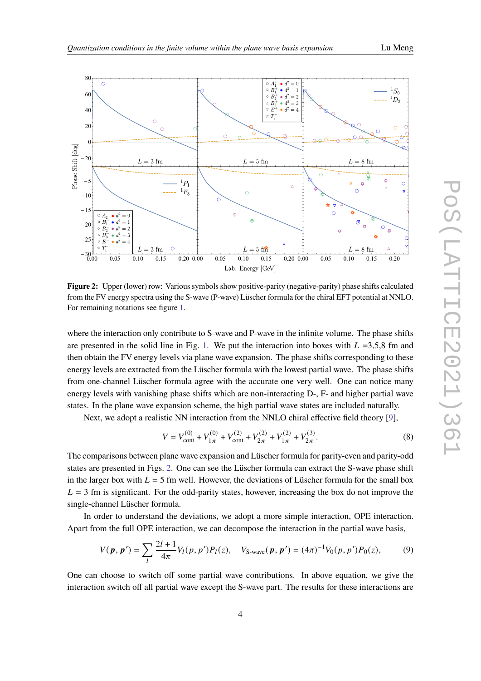<span id="page-3-0"></span>

**Figure 2:** Upper (lower) row: Various symbols show positive-parity (negative-parity) phase shifts calculated from the FV energy spectra using the S-wave (P-wave) Lüscher formula for the chiral EFT potential at NNLO. For remaining notations see figure [1.](#page-2-0)

where the interaction only contribute to S-wave and P-wave in the infinite volume. The phase shifts are presented in the solid line in Fig. [1.](#page-2-0) We put the interaction into boxes with  $L = 3,5,8$  fm and then obtain the FV energy levels via plane wave expansion. The phase shifts corresponding to these energy levels are extracted from the Lüscher formula with the lowest partial wave. The phase shifts from one-channel Lüscher formula agree with the accurate one very well. One can notice many energy levels with vanishing phase shifts which are non-interacting D-, F- and higher partial wave states. In the plane wave expansion scheme, the high partial wave states are included naturally.

Next, we adopt a realistic NN interaction from the NNLO chiral effective field theory [\[9\]](#page-8-7),

$$
V = V_{\text{cont}}^{(0)} + V_{1\pi}^{(0)} + V_{\text{cont}}^{(2)} + V_{2\pi}^{(2)} + V_{1\pi}^{(2)} + V_{2\pi}^{(3)}.
$$
 (8)

The comparisons between plane wave expansion and Lüscher formula for parity-even and parity-odd states are presented in Figs. [2.](#page-3-0) One can see the Lüscher formula can extract the S-wave phase shift in the larger box with  $L = 5$  fm well. However, the deviations of Lüscher formula for the small box  $L = 3$  fm is significant. For the odd-parity states, however, increasing the box do not improve the single-channel Lüscher formula.

In order to understand the deviations, we adopt a more simple interaction, OPE interaction. Apart from the full OPE interaction, we can decompose the interaction in the partial wave basis,

$$
V(\boldsymbol{p}, \boldsymbol{p}') = \sum_{l} \frac{2l+1}{4\pi} V_l(p, p') P_l(z), \quad V_{\text{S-wave}}(\boldsymbol{p}, \boldsymbol{p}') = (4\pi)^{-1} V_0(p, p') P_0(z), \tag{9}
$$

One can choose to switch off some partial wave contributions. In above equation, we give the interaction switch off all partial wave except the S-wave part. The results for these interactions are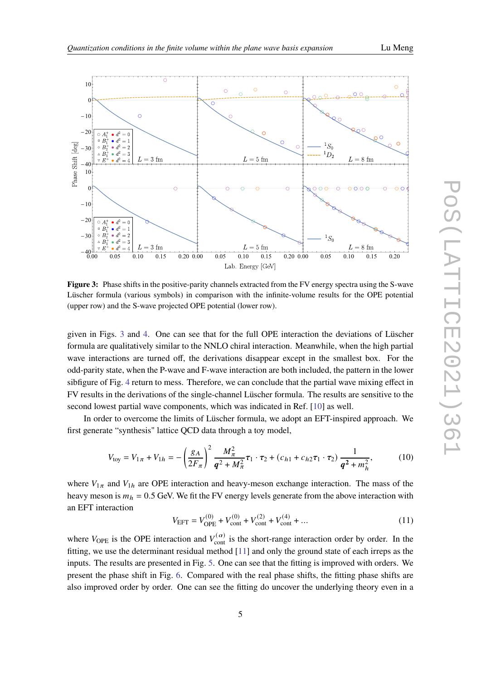

<span id="page-4-0"></span>

**Figure 3:** Phase shifts in the positive-parity channels extracted from the FV energy spectra using the S-wave Lüscher formula (various symbols) in comparison with the infinite-volume results for the OPE potential (upper row) and the S-wave projected OPE potential (lower row).

given in Figs. [3](#page-4-0) and [4.](#page-5-0) One can see that for the full OPE interaction the deviations of Lüscher formula are qualitatively similar to the NNLO chiral interaction. Meanwhile, when the high partial wave interactions are turned off, the derivations disappear except in the smallest box. For the odd-parity state, when the P-wave and F-wave interaction are both included, the pattern in the lower sibfigure of Fig. [4](#page-5-0) return to mess. Therefore, we can conclude that the partial wave mixing effect in FV results in the derivations of the single-channel Lüscher formula. The results are sensitive to the second lowest partial wave components, which was indicated in Ref. [\[10\]](#page-8-8) as well.

In order to overcome the limits of Lüscher formula, we adopt an EFT-inspired approach. We first generate "synthesis" lattice QCD data through a toy model,

$$
V_{\text{toy}} = V_{1\pi} + V_{1h} = -\left(\frac{g_A}{2F_{\pi}}\right)^2 \frac{M_{\pi}^2}{q^2 + M_{\pi}^2} \tau_1 \cdot \tau_2 + (c_{h1} + c_{h2}\tau_1 \cdot \tau_2) \frac{1}{q^2 + m_h^2},\tag{10}
$$

where  $V_{1\pi}$  and  $V_{1h}$  are OPE interaction and heavy-meson exchange interaction. The mass of the heavy meson is  $m_h = 0.5$  GeV. We fit the FV energy levels generate from the above interaction with an EFT interaction

$$
V_{\text{EFT}} = V_{\text{OPE}}^{(0)} + V_{\text{cont}}^{(0)} + V_{\text{cont}}^{(2)} + V_{\text{cont}}^{(4)} + \dots
$$
 (11)

where  $V_{\text{OPE}}$  is the OPE interaction and  $V_{\text{cont}}^{(\alpha)}$  is the short-range interaction order by order. In the fitting, we use the determinant residual method [\[11\]](#page-8-9) and only the ground state of each irreps as the inputs. The results are presented in Fig. [5.](#page-6-0) One can see that the fitting is improved with orders. We present the phase shift in Fig. [6.](#page-7-0) Compared with the real phase shifts, the fitting phase shifts are also improved order by order. One can see the fitting do uncover the underlying theory even in a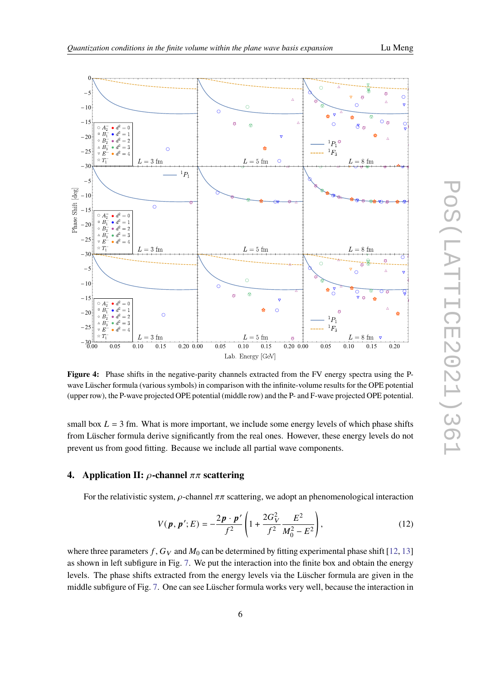<span id="page-5-0"></span>

**Figure 4:** Phase shifts in the negative-parity channels extracted from the FV energy spectra using the Pwave Lüscher formula (various symbols) in comparison with the infinite-volume results for the OPE potential (upper row), the P-wave projected OPE potential (middle row) and the P- and F-wave projected OPE potential.

small box  $L = 3$  fm. What is more important, we include some energy levels of which phase shifts from Lüscher formula derive significantly from the real ones. However, these energy levels do not prevent us from good fitting. Because we include all partial wave components.

# **4.** Application II:  $\rho$ -channel  $\pi\pi$  scattering

For the relativistic system,  $\rho$ -channel  $\pi\pi$  scattering, we adopt an phenomenological interaction

<span id="page-5-1"></span>
$$
V(\mathbf{p}, \mathbf{p}'; E) = -\frac{2\mathbf{p} \cdot \mathbf{p}'}{f^2} \left( 1 + \frac{2G_V^2}{f^2} \frac{E^2}{M_0^2 - E^2} \right),\tag{12}
$$

where three parameters f,  $G_V$  and  $M_0$  can be determined by fitting experimental phase shift [\[12,](#page-8-10) [13\]](#page-8-11) as shown in left subfigure in Fig. [7.](#page-7-1) We put the interaction into the finite box and obtain the energy levels. The phase shifts extracted from the energy levels via the Lüscher formula are given in the middle subfigure of Fig. [7.](#page-7-1) One can see Lüscher formula works very well, because the interaction in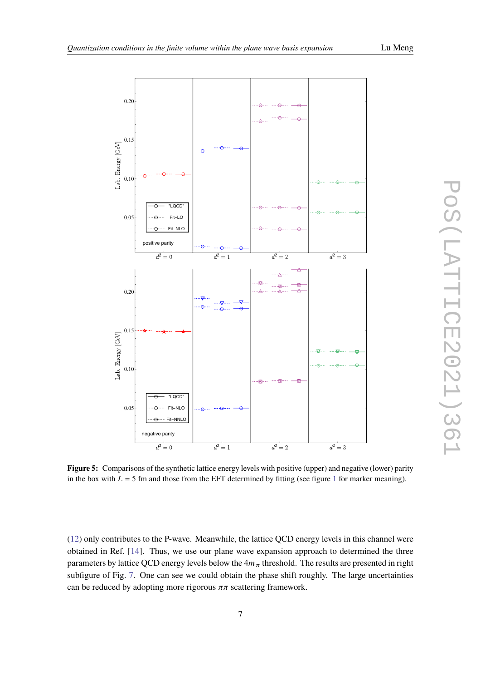<span id="page-6-0"></span>

**Figure 5:** Comparisons of the synthetic lattice energy levels with positive (upper) and negative (lower) parity in the box with  $L = 5$  fm and those from the EFT determined by fitting (see figure [1](#page-2-0) for marker meaning).

[\(12\)](#page-5-1) only contributes to the P-wave. Meanwhile, the lattice QCD energy levels in this channel were obtained in Ref. [\[14\]](#page-8-12). Thus, we use our plane wave expansion approach to determined the three parameters by lattice QCD energy levels below the  $4m<sub>\pi</sub>$  threshold. The results are presented in right subfigure of Fig. [7.](#page-7-1) One can see we could obtain the phase shift roughly. The large uncertainties can be reduced by adopting more rigorous  $\pi\pi$  scattering framework.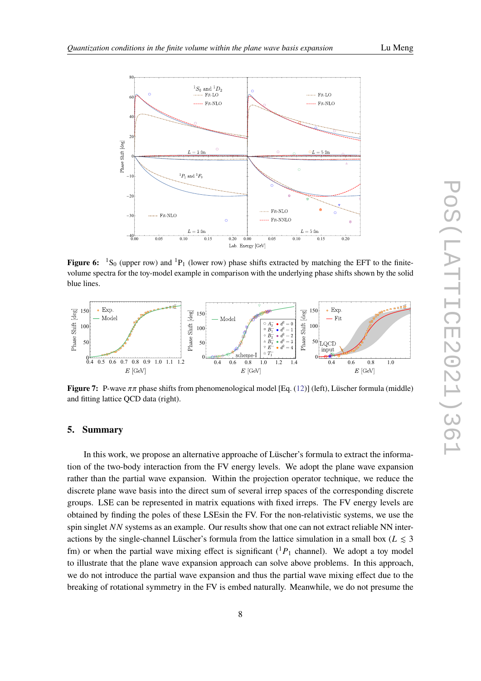<span id="page-7-0"></span>

**Figure 6:**  ${}^{1}S_{0}$  (upper row) and  ${}^{1}P_{1}$  (lower row) phase shifts extracted by matching the EFT to the finitevolume spectra for the toy-model example in comparison with the underlying phase shifts shown by the solid blue lines.

<span id="page-7-1"></span>

**Figure 7:** P-wave  $\pi\pi$  phase shifts from phenomenological model [Eq. [\(12\)](#page-5-1)] (left), Lüscher formula (middle) and fitting lattice QCD data (right).

## **5. Summary**

In this work, we propose an alternative approache of Lüscher's formula to extract the information of the two-body interaction from the FV energy levels. We adopt the plane wave expansion rather than the partial wave expansion. Within the projection operator technique, we reduce the discrete plane wave basis into the direct sum of several irrep spaces of the corresponding discrete groups. LSE can be represented in matrix equations with fixed irreps. The FV energy levels are obtained by finding the poles of these LSEsin the FV. For the non-relativistic systems, we use the spin singlet  $NN$  systems as an example. Our results show that one can not extract reliable NN interactions by the single-channel Lüscher's formula from the lattice simulation in a small box ( $L \le 3$ fm) or when the partial wave mixing effect is significant  $({}^{1}P_{1}$  channel). We adopt a toy model to illustrate that the plane wave expansion approach can solve above problems. In this approach, we do not introduce the partial wave expansion and thus the partial wave mixing effect due to the breaking of rotational symmetry in the FV is embed naturally. Meanwhile, we do not presume the